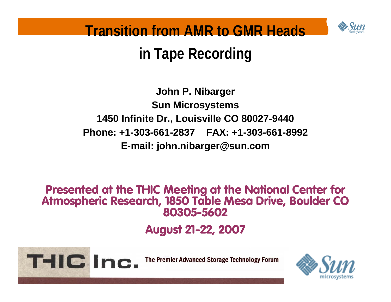

**Transition from AMR to GMR Heads**

## **in Tape Recording**

**John P. Nibarger Sun Microsystems 1450 Infinite Dr., Louisville CO 80027-9440 Phone: +1-303-661-2837 FAX: +1-303-661-8992E-mail: john.nibarger@sun.com**

#### **Presented at the THIC Meeting at the National Center for Atmospheric Research, 1850 Table Mesa Drive, Boulder CO 80305-5602**

**August 21-22, 2007**

THIC – 8/22/07



The Premier Advanced Storage Technology Forum

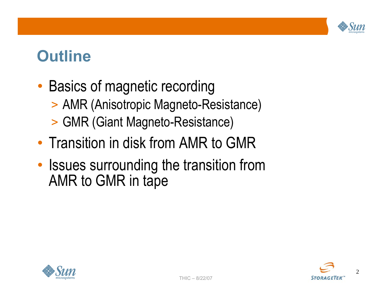

#### **Outline**

- •• Basics of magnetic recording
	- > AMR (Anisotropic Magneto-Resistance)
	- > GMR (Giant Magneto-Resistance)
- Transition in disk from AMR to GMR
- •• Issues surrounding the transition from AMR to GMR in tape



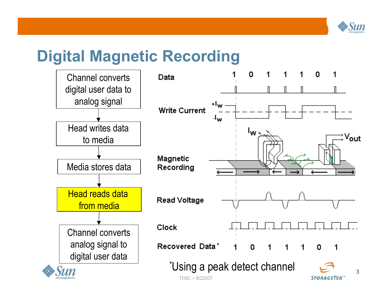

#### **Digital Magnetic Recording**

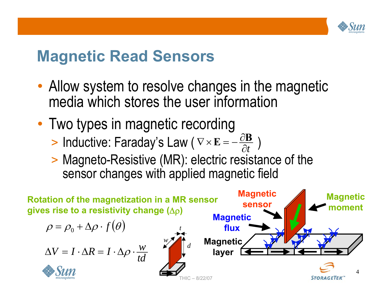

#### **Magnetic Read Sensors**

- Allow system to resolve changes in the magnetic media which stores the user information
- Two types in magnetic recording
	- > Inductive: Faraday's Law (  $\nabla \times {\bf E} = -\frac{U{\bf B}}{\partial t}$  ) ∂ $\nabla \times \mathbf{E} = -\frac{\partial \mathbf{B}}{\partial \mathbf{B}}$
	- > Magneto-Resistive (MR): electric resistance of the sensor changes with applied magnetic field

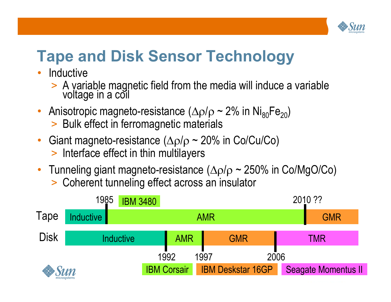

# **Tape and Disk Sensor Technology**

- • Inductive
	- > A variable magnetic field from the media will induce a variable voltage in a coil
- Anisotropic magneto-resistance ( $\Delta \rho / \rho \simeq 2 \%$  in Ni<sub>80</sub>Fe<sub>20</sub>)
	- > Bulk effect in ferromagnetic materials
- $\bullet$ Giant magneto-resistance ( $\Delta \rho / \rho \sim 20\%$  in Co/Cu/Co)
	- > Interface effect in thin multilayers
- Tunneling giant magneto-resistance ( $\Delta \rho / \rho \simeq 250\%$  in Co/MgO/Co)
	- > Coherent tunneling effect across an insulator

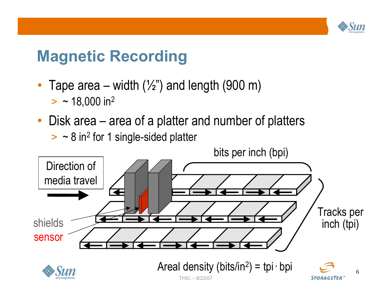

### **Magnetic Recording**

- Tape area width  $(\frac{1}{2})$  and length (900 m)
	- $>$  ~ 18,000 in<sup>2</sup>
- Disk area area of a platter and number of platters
	- $>$   $\sim$  8 in<sup>2</sup> for 1 single-sided platter

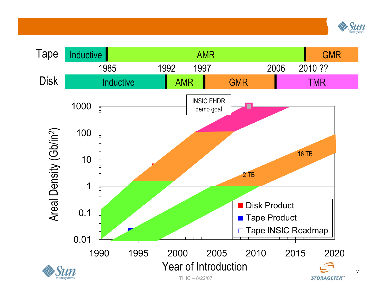

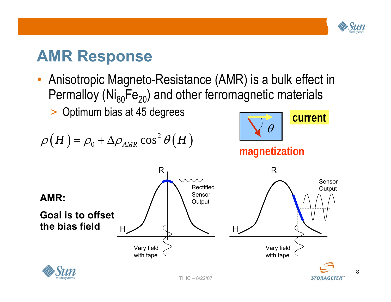

#### **AMR Response**

- Anisotropic Magneto-Resistance (AMR) is a bulk effect in Permalloy ( $Ni_{80}Fe_{20}$ ) and other ferromagnetic materials
	- > Optimum bias at 45 degrees

$$
\rho(H) = \rho_0 + \Delta\rho_{AMR} \cos^2\theta(H)
$$

H

Vary field with tape

R

| W $\theta$    | current |
|---------------|---------|
| magnetization |         |
| H             | Stensor |
| Output        |         |

Vary field with tape



**AMR:**

**Goal is to offset** 

**the bias field**

Rectified Sensor**Output** 

**STORAGETEK**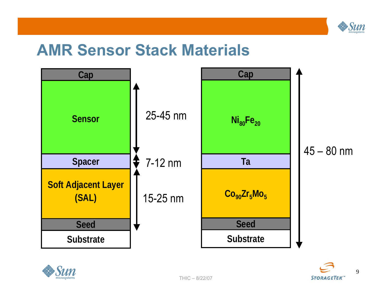

#### **AMR Sensor Stack Materials**





9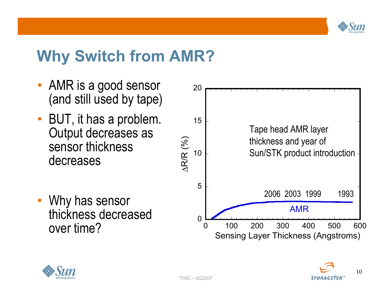

# **Why Switch from AMR?**

- AMR is a good sensor (and still used by tape)
- BUT, it has a problem. Output decreases as sensor thickness decreases
- • Why has sensor thickness decreased over time?



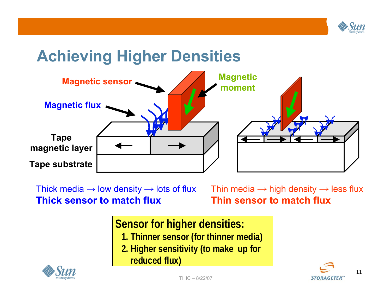

### **Achieving Higher Densities**



Thick media  $\rightarrow$  low density  $\rightarrow$  lots of flux **Thick sensor to match flux**

Thin media  $\rightarrow$  high density  $\rightarrow$  less flux **Thin sensor to match flux**

**Sensor for higher densities:**

- **1. Thinner sensor (for thinner media)**
- **2. Higher sensitivity (to make up for reduced flux)**



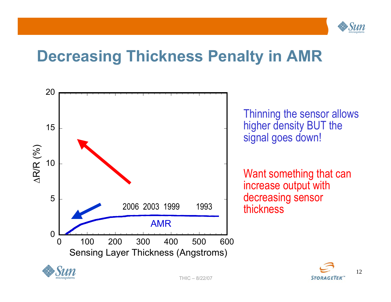

#### **Decreasing Thickness Penalty in AMR**





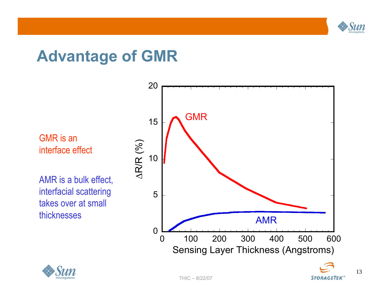

#### **Advantage of GMR**

GMR is an interface effect

AMR is a bulk effect, interfacial scattering takes over at small thicknesses





**STORAGETEK**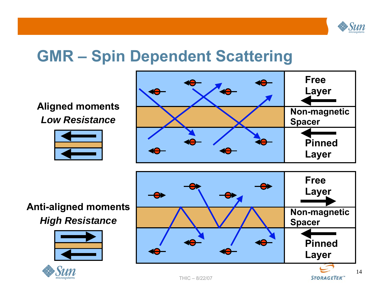

#### **GMR – Spin Dependent Scattering**

**Aligned moments** *Low Resistance*





**Anti-aligned moments** *High Resistance*





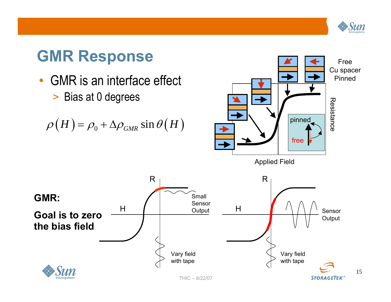

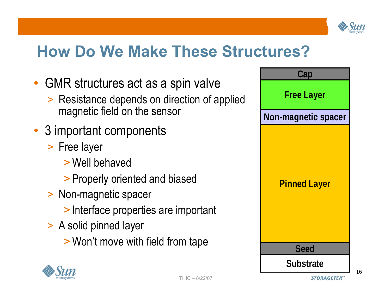

#### **How Do We Make These Structures?**

- GMR structures act as a spin valve
	- > Resistance depends on direction of applied magnetic field on the sensor
- 3 important components
	- > Free layer
		- > Well behaved
		- > Properly oriented and biased
	- > Non-magnetic spacer
		- > Interface properties are important
	- > A solid pinned layer
		- > Won't move with field from tape



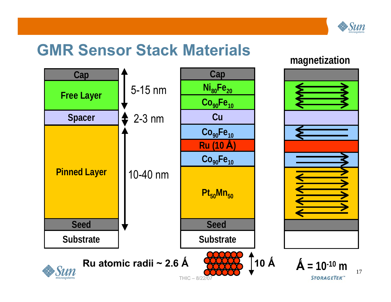

#### **GMR Sensor Stack Materials**



#### **magnetization**



**STORAGETEK**<sup>"</sup>

17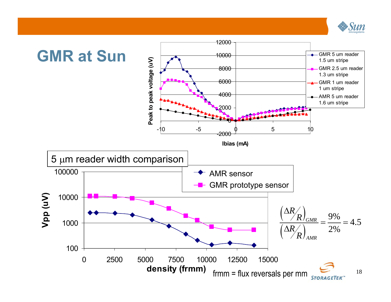

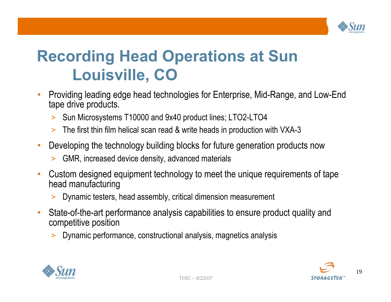

# **Recording Head Operations at Sun Louisville, CO**

- • Providing leading edge head technologies for Enterprise, Mid-Range, and Low-End tape drive products.
	- >Sun Microsystems T10000 and 9x40 product lines; LTO2-LTO4
	- >The first thin film helical scan read & write heads in production with VXA-3
- $\bullet$  Developing the technology building blocks for future generation products now
	- > GMR, increased device density, advanced materials
- • Custom designed equipment technology to meet the unique requirements of tape head manufacturing
	- $>$ Dynamic testers, head assembly, critical dimension measurement
- $\bullet$  State-of-the-art performance analysis capabilities to ensure product quality and competitive position
	- >Dynamic performance, constructional analysis, magnetics analysis



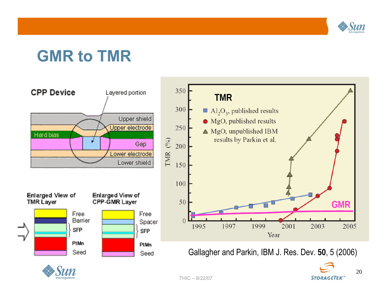

## **GMR to TMR**





20

**STORAGETEK**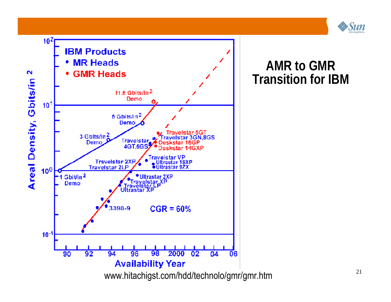



#### **AMR to GMR Transition for IBM**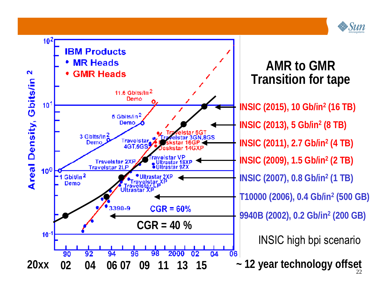

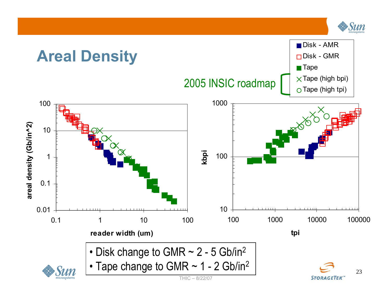

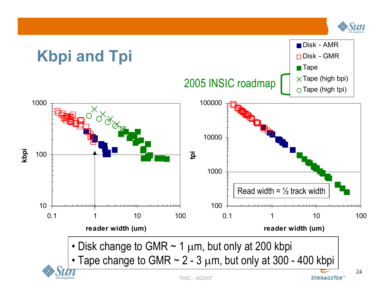

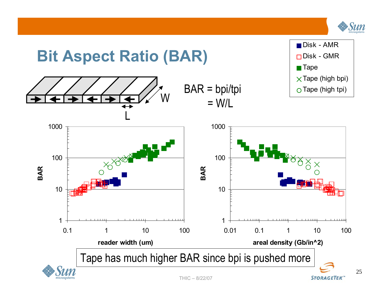

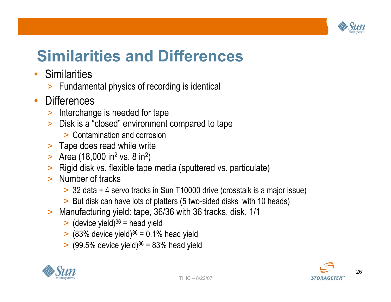

# **Similarities and Differences**

- $\bullet$ **Similarities** 
	- > Fundamental physics of recording is identical
- •**Differences** 
	- > Interchange is needed for tape
	- > Disk is a "closed" environment compared to tape
		- > Contamination and corrosion
	- > Tape does read while write
	- > Area (18,000 in<sup>2</sup> vs. 8 in<sup>2</sup>)
	- > Rigid disk vs. flexible tape media (sputtered vs. particulate)
	- > Number of tracks
		- > 32 data + 4 servo tracks in Sun T10000 drive (crosstalk is a major issue)
		- > But disk can have lots of platters (5 two-sided disks with 10 heads)
	- > Manufacturing yield: tape, 36/36 with 36 tracks, disk, 1/1
		- $>$  (device yield)<sup>36</sup> = head yield
		- $>$  (83% device yield)<sup>36</sup> = 0.1% head yield
		- $>$  (99.5% device yield)<sup>36</sup> = 83% head yield



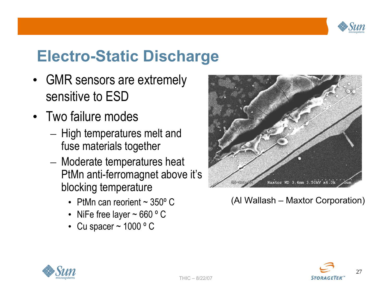

## **Electro-Static Discharge**

- GMR sensors are extremely sensitive to ESD
- Two failure modes
	- $-$  High temperatures melt and  $\,$ fuse materials together
	- $-$  Moderate temperatures heat PtMn anti-ferromagnet above it's blocking temperature
		- PtMn can reorient ~ 350º C
		- NiFe free layer ~ 660 º C
		- Cu spacer ~ 1000 º C



(Al Wallash – Maxtor Corporation)



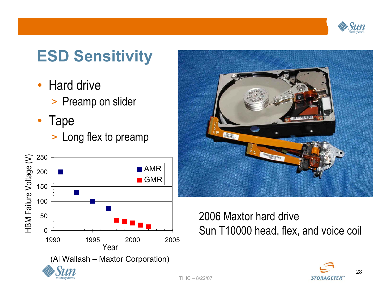

# **ESD Sensitivity**

- • Hard drive
	- > Preamp on slider
- Tape
	- > Long flex to preamp





#### 2006 Maxtor hard driveSun T10000 head, flex, and voice coil

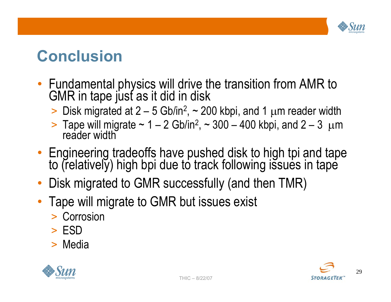

### **Conclusion**

- • Fundamental physics will drive the transition from AMR to GMR in tape just as it did in disk
	- > Disk migrated at  $2 5$  Gb/in<sup>2</sup>,  $\sim$  200 kbpi, and 1  $\mu$ m reader width
	- >Tape will migrate  $\sim 1 - 2$  Gb/in<sup>2</sup>,  $\sim 300 - 400$  kbpi, and  $2 - 3$  µm reader width
- Engineering tradeoffs have pushed disk to high tpi and tape<br>to (relatively) high bpi due to track following issues in tape
- Disk migrated to GMR successfully (and then TMR)
- Tape will migrate to GMR but issues exist
	- > Corrosion
	- > ESD
	- > Media